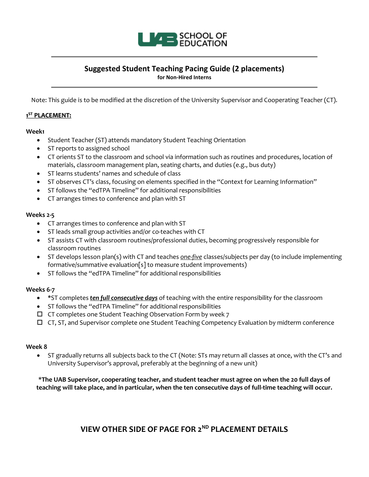

# **Suggested Student Teaching Pacing Guide (2 placements)**

**for Non-Hired Interns**

Note: This guide is to be modified at the discretion of the University Supervisor and Cooperating Teacher (CT).

### **1ST PLACEMENT:**

### **Week1**

- Student Teacher (ST) attends mandatory Student Teaching Orientation
- ST reports to assigned school
- CT orients ST to the classroom and school via information such as routines and procedures, location of materials, classroom management plan, seating charts, and duties (e.g., bus duty)
- ST learns students' names and schedule of class
- ST observes CT's class, focusing on elements specified in the "Context for Learning Information"
- ST follows the "edTPA Timeline" for additional responsibilities
- CT arranges times to conference and plan with ST

### **Weeks 2-5**

- CT arranges times to conference and plan with ST
- ST leads small group activities and/or co-teaches with CT
- ST assists CT with classroom routines/professional duties, becoming progressively responsible for classroom routines
- ST develops lesson plan(s) with CT and teaches *one-five* classes/subjects per day (to include implementing formative/summative evaluation[s] to measure student improvements)
- ST follows the "edTPA Timeline" for additional responsibilities

### **Weeks 6-7**

- **\***ST completes *ten full consecutive days* of teaching with the entire responsibility for the classroom
- ST follows the "edTPA Timeline" for additional responsibilities
- $\Box$  CT completes one Student Teaching Observation Form by week  $7$
- $\Box$  CT, ST, and Supervisor complete one Student Teaching Competency Evaluation by midterm conference

### **Week 8**

• ST gradually returns all subjects back to the CT (Note: STs may return all classes at once, with the CT's and University Supervisor's approval, preferably at the beginning of a new unit)

\***The UAB Supervisor, cooperating teacher, and student teacher must agree on when the 20 full days of teaching will take place, and in particular, when the ten consecutive days of full-time teaching will occur.** 

## **VIEW OTHER SIDE OF PAGE FOR 2ND PLACEMENT DETAILS**